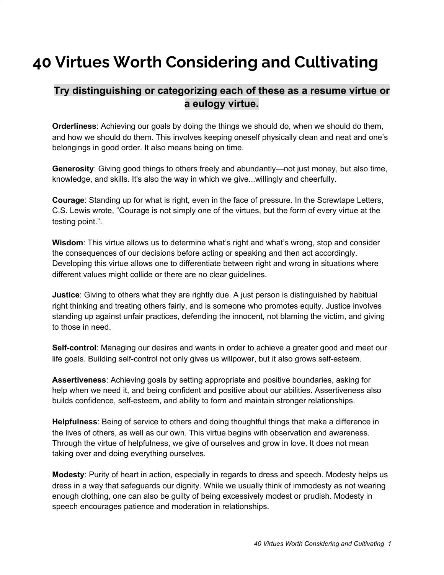## **40 Virtues Worth Considering and Cultivating**

## **Try distinguishing or categorizing each of these as a resume virtue or a eulogy virtue.**

**Orderliness**: Achieving our goals by doing the things we should do, when we should do them, and how we should do them. This involves keeping oneself physically clean and neat and one's belongings in good order. It also means being on time.

**Generosity**: Giving good things to others freely and abundantly—not just money, but also time, knowledge, and skills. It's also the way in which we give...willingly and cheerfully.

**Courage**: Standing up for what is right, even in the face of pressure. In the Screwtape Letters, C.S. Lewis wrote, "Courage is not simply one of the virtues, but the form of every virtue at the testing point.".

**Wisdom**: This virtue allows us to determine what's right and what's wrong, stop and consider the consequences of our decisions before acting or speaking and then act accordingly. Developing this virtue allows one to differentiate between right and wrong in situations where different values might collide or there are no clear guidelines.

**Justice**: Giving to others what they are rightly due. A just person is distinguished by habitual right thinking and treating others fairly, and is someone who promotes equity. Justice involves standing up against unfair practices, defending the innocent, not blaming the victim, and giving to those in need.

**Self-control**: Managing our desires and wants in order to achieve a greater good and meet our life goals. Building self-control not only gives us willpower, but it also grows self-esteem.

**Assertiveness**: Achieving goals by setting appropriate and positive boundaries, asking for help when we need it, and being confident and positive about our abilities. Assertiveness also builds confidence, self-esteem, and ability to form and maintain stronger relationships.

**Helpfulness**: Being of service to others and doing thoughtful things that make a difference in the lives of others, as well as our own. This virtue begins with observation and awareness. Through the virtue of helpfulness, we give of ourselves and grow in love. It does not mean taking over and doing everything ourselves.

**Modesty**: Purity of heart in action, especially in regards to dress and speech. Modesty helps us dress in a way that safeguards our dignity. While we usually think of immodesty as not wearing enough clothing, one can also be guilty of being excessively modest or prudish. Modesty in speech encourages patience and moderation in relationships.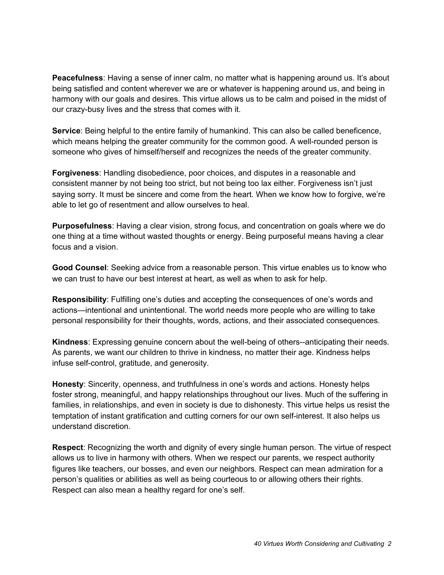**Peacefulness**: Having a sense of inner calm, no matter what is happening around us. It's about being satisfied and content wherever we are or whatever is happening around us, and being in harmony with our goals and desires. This virtue allows us to be calm and poised in the midst of our crazy-busy lives and the stress that comes with it.

**Service**: Being helpful to the entire family of humankind. This can also be called beneficence, which means helping the greater community for the common good. A well-rounded person is someone who gives of himself/herself and recognizes the needs of the greater community.

**Forgiveness**: Handling disobedience, poor choices, and disputes in a reasonable and consistent manner by not being too strict, but not being too lax either. Forgiveness isn't just saying sorry. It must be sincere and come from the heart. When we know how to forgive, we're able to let go of resentment and allow ourselves to heal.

**Purposefulness**: Having a clear vision, strong focus, and concentration on goals where we do one thing at a time without wasted thoughts or energy. Being purposeful means having a clear focus and a vision.

**Good Counsel**: Seeking advice from a reasonable person. This virtue enables us to know who we can trust to have our best interest at heart, as well as when to ask for help.

**Responsibility**: Fulfilling one's duties and accepting the consequences of one's words and actions—intentional and unintentional. The world needs more people who are willing to take personal responsibility for their thoughts, words, actions, and their associated consequences.

**Kindness**: Expressing genuine concern about the well-being of others--anticipating their needs. As parents, we want our children to thrive in kindness, no matter their age. Kindness helps infuse self-control, gratitude, and generosity.

**Honesty**: Sincerity, openness, and truthfulness in one's words and actions. Honesty helps foster strong, meaningful, and happy relationships throughout our lives. Much of the suffering in families, in relationships, and even in society is due to dishonesty. This virtue helps us resist the temptation of instant gratification and cutting corners for our own self-interest. It also helps us understand discretion.

**Respect**: Recognizing the worth and dignity of every single human person. The virtue of respect allows us to live in harmony with others. When we respect our parents, we respect authority figures like teachers, our bosses, and even our neighbors. Respect can mean admiration for a person's qualities or abilities as well as being courteous to or allowing others their rights. Respect can also mean a healthy regard for one's self.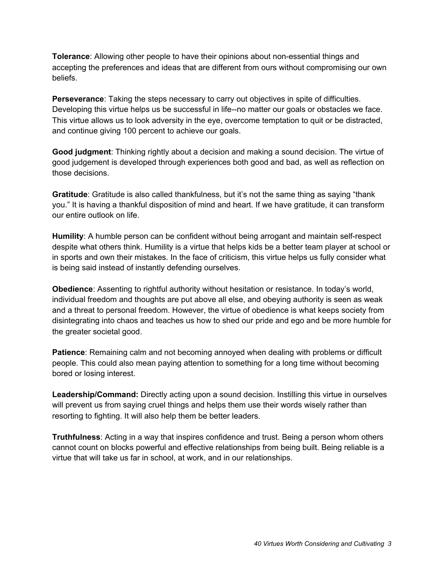**Tolerance**: Allowing other people to have their opinions about non-essential things and accepting the preferences and ideas that are different from ours without compromising our own beliefs.

**Perseverance**: Taking the steps necessary to carry out objectives in spite of difficulties. Developing this virtue helps us be successful in life--no matter our goals or obstacles we face. This virtue allows us to look adversity in the eye, overcome temptation to quit or be distracted, and continue giving 100 percent to achieve our goals.

**Good judgment**: Thinking rightly about a decision and making a sound decision. The virtue of good judgement is developed through experiences both good and bad, as well as reflection on those decisions.

**Gratitude**: Gratitude is also called thankfulness, but it's not the same thing as saying "thank you." It is having a thankful disposition of mind and heart. If we have gratitude, it can transform our entire outlook on life.

**Humility**: A humble person can be confident without being arrogant and maintain self-respect despite what others think. Humility is a virtue that helps kids be a better team player at school or in sports and own their mistakes. In the face of criticism, this virtue helps us fully consider what is being said instead of instantly defending ourselves.

**Obedience**: Assenting to rightful authority without hesitation or resistance. In today's world, individual freedom and thoughts are put above all else, and obeying authority is seen as weak and a threat to personal freedom. However, the virtue of obedience is what keeps society from disintegrating into chaos and teaches us how to shed our pride and ego and be more humble for the greater societal good.

**Patience**: Remaining calm and not becoming annoyed when dealing with problems or difficult people. This could also mean paying attention to something for a long time without becoming bored or losing interest.

**Leadership/Command:** Directly acting upon a sound decision. Instilling this virtue in ourselves will prevent us from saying cruel things and helps them use their words wisely rather than resorting to fighting. It will also help them be better leaders.

**Truthfulness**: Acting in a way that inspires confidence and trust. Being a person whom others cannot count on blocks powerful and effective relationships from being built. Being reliable is a virtue that will take us far in school, at work, and in our relationships.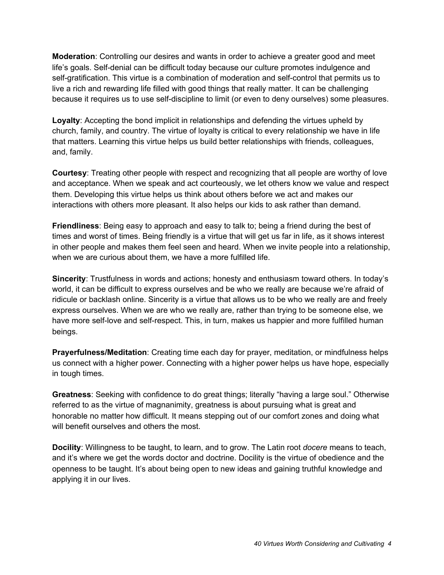**Moderation**: Controlling our desires and wants in order to achieve a greater good and meet life's goals. Self-denial can be difficult today because our culture promotes indulgence and self-gratification. This virtue is a combination of moderation and self-control that permits us to live a rich and rewarding life filled with good things that really matter. It can be challenging because it requires us to use self-discipline to limit (or even to deny ourselves) some pleasures.

**Loyalty**: Accepting the bond implicit in relationships and defending the virtues upheld by church, family, and country. The virtue of loyalty is critical to every relationship we have in life that matters. Learning this virtue helps us build better relationships with friends, colleagues, and, family.

**Courtesy**: Treating other people with respect and recognizing that all people are worthy of love and acceptance. When we speak and act courteously, we let others know we value and respect them. Developing this virtue helps us think about others before we act and makes our interactions with others more pleasant. It also helps our kids to ask rather than demand.

**Friendliness**: Being easy to approach and easy to talk to; being a friend during the best of times and worst of times. Being friendly is a virtue that will get us far in life, as it shows interest in other people and makes them feel seen and heard. When we invite people into a relationship, when we are curious about them, we have a more fulfilled life.

**Sincerity**: Trustfulness in words and actions; honesty and enthusiasm toward others. In today's world, it can be difficult to express ourselves and be who we really are because we're afraid of ridicule or backlash online. Sincerity is a virtue that allows us to be who we really are and freely express ourselves. When we are who we really are, rather than trying to be someone else, we have more self-love and self-respect. This, in turn, makes us happier and more fulfilled human beings.

**Prayerfulness/Meditation**: Creating time each day for prayer, meditation, or mindfulness helps us connect with a higher power. Connecting with a higher power helps us have hope, especially in tough times.

**Greatness**: Seeking with confidence to do great things; literally "having a large soul." Otherwise referred to as the virtue of magnanimity, greatness is about pursuing what is great and honorable no matter how difficult. It means stepping out of our comfort zones and doing what will benefit ourselves and others the most.

**Docility**: Willingness to be taught, to learn, and to grow. The Latin root *docere* means to teach, and it's where we get the words doctor and doctrine. Docility is the virtue of obedience and the openness to be taught. It's about being open to new ideas and gaining truthful knowledge and applying it in our lives.